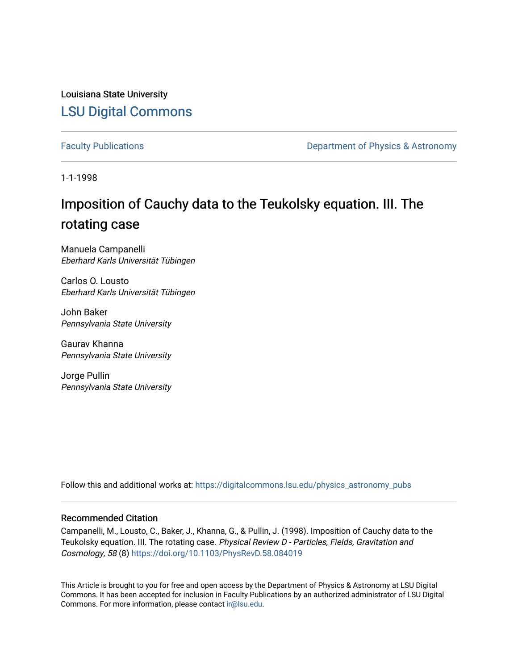Louisiana State University [LSU Digital Commons](https://digitalcommons.lsu.edu/)

[Faculty Publications](https://digitalcommons.lsu.edu/physics_astronomy_pubs) **Exercise 2** and Table 2 and Department of Physics & Astronomy

1-1-1998

# Imposition of Cauchy data to the Teukolsky equation. III. The rotating case

Manuela Campanelli Eberhard Karls Universität Tübingen

Carlos O. Lousto Eberhard Karls Universität Tübingen

John Baker Pennsylvania State University

Gaurav Khanna Pennsylvania State University

Jorge Pullin Pennsylvania State University

Follow this and additional works at: [https://digitalcommons.lsu.edu/physics\\_astronomy\\_pubs](https://digitalcommons.lsu.edu/physics_astronomy_pubs?utm_source=digitalcommons.lsu.edu%2Fphysics_astronomy_pubs%2F4426&utm_medium=PDF&utm_campaign=PDFCoverPages) 

## Recommended Citation

Campanelli, M., Lousto, C., Baker, J., Khanna, G., & Pullin, J. (1998). Imposition of Cauchy data to the Teukolsky equation. III. The rotating case. Physical Review D - Particles, Fields, Gravitation and Cosmology, 58 (8)<https://doi.org/10.1103/PhysRevD.58.084019>

This Article is brought to you for free and open access by the Department of Physics & Astronomy at LSU Digital Commons. It has been accepted for inclusion in Faculty Publications by an authorized administrator of LSU Digital Commons. For more information, please contact [ir@lsu.edu](mailto:ir@lsu.edu).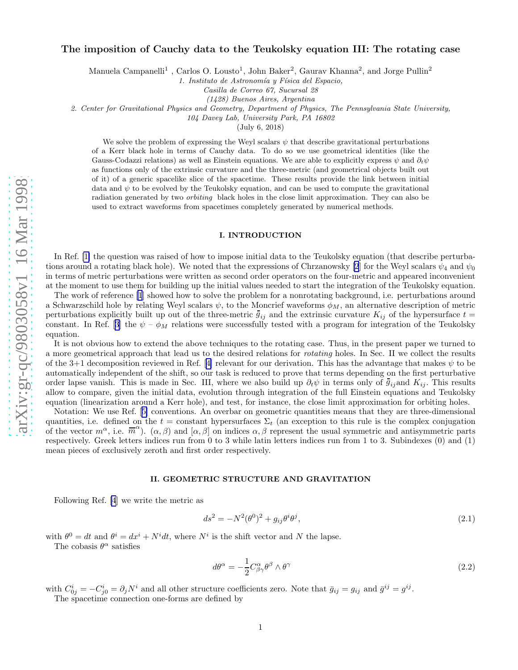## The imposition of Cauchy data to the Teukolsky equation III: The rotating case

Manuela Campanelli<sup>1</sup>, Carlos O. Lousto<sup>1</sup>, John Baker<sup>2</sup>, Gaurav Khanna<sup>2</sup>, and Jorge Pullin<sup>2</sup>

1. Instituto de Astronomía y Física del Espacio,

Casilla de Correo 67, Sucursal 28

(1428) Buenos Aires, Argentina

2. Center for Gravitational Physics and Geometry, Department of Physics, The Pennsylvania State University,

104 Davey Lab, University Park, PA 16802

(July 6, 2018)

We solve the problem of expressing the Weyl scalars  $\psi$  that describe gravitational perturbations of a Kerr black hole in terms of Cauchy data. To do so we use geometrical identities (like the Gauss-Codazzi relations) as well as Einstein equations. We are able to explicitly express  $\psi$  and  $\partial_t \psi$ as functions only of the extrinsic curvature and the three-metric (and geometrical objects built out of it) of a generic spacelike slice of the spacetime. These results provide the link between initial data and  $\psi$  to be evolved by the Teukolsky equation, and can be used to compute the gravitational radiation generated by two *orbiting* black holes in the close limit approximation. They can also be used to extract waveforms from spacetimes completely generated by numerical methods.

#### I. INTRODUCTION

In Ref. [\[1\]](#page-5-0) the question was raised of how to impose initial data to the Teukolsky equation (that describe perturba-tions around a rotating black hole). We noted that the expressions of Chrzanowsky [\[2](#page-5-0)] for the Weyl scalars  $\psi_4$  and  $\psi_0$ in terms of metric perturbations were written as second order operators on the four-metric and appeared inconvenient at the moment to use them for building up the initial values needed to start the integration of the Teukolsky equation.

The work of reference [\[1](#page-5-0)] showed how to solve the problem for a nonrotating background, i.e. perturbations around a Schwarzschild hole by relating Weyl scalars  $\psi$ , to the Moncrief waveforms  $\phi_M$ , an alternative description of metric perturbations explicitly built up out of the three-metric  $\bar{g}_{ij}$  and the extrinsic curvature  $K_{ij}$  of the hypersurface  $t =$ constant. In Ref. [\[3](#page-5-0)] the  $\psi - \phi_M$  relations were successfully tested with a program for integration of the Teukolsky equation.

It is not obvious how to extend the above techniques to the rotating case. Thus, in the present paper we turned to a more geometrical approach that lead us to the desired relations for rotating holes. In Sec. II we collect the results ofthe 3+1 decomposition reviewed in Ref. [[4\]](#page-5-0) relevant for our derivation. This has the advantage that makes  $\psi$  to be automatically independent of the shift, so our task is reduced to prove that terms depending on the first perturbative order lapse vanish. This is made in Sec. III, where we also build up  $\partial_t \psi$  in terms only of  $\bar{g}_{ij}$  and  $K_{ij}$ . This results allow to compare, given the initial data, evolution through integration of the full Einstein equations and Teukolsky equation (linearization around a Kerr hole), and test, for instance, the close limit approximation for orbiting holes.

Notation: We use Ref.[[5\]](#page-5-0) conventions. An overbar on geometric quantities means that they are three-dimensional quantities, i.e. defined on the  $t = constant$  hypersurfaces  $\Sigma_t$  (an exception to this rule is the complex conjugation of the vector  $m^{\alpha}$ , i.e.  $\overline{m}^{\alpha}$ ).  $(\alpha, \beta)$  and  $[\alpha, \beta]$  on indices  $\alpha, \beta$  represent the usual symmetric and antisymmetric parts respectively. Greek letters indices run from 0 to 3 while latin letters indices run from 1 to 3. Subindexes (0) and (1) mean pieces of exclusively zeroth and first order respectively.

### II. GEOMETRIC STRUCTURE AND GRAVITATION

Following Ref. [\[4](#page-5-0)] we write the metric as

$$
ds^{2} = -N^{2}(\theta^{0})^{2} + g_{ij}\theta^{i}\theta^{j},
$$
\n(2.1)

with  $\theta^0 = dt$  and  $\theta^i = dx^i + N^i dt$ , where  $N^i$  is the shift vector and N the lapse.

The cobasis  $\theta^{\alpha}$  satisfies

$$
d\theta^{\alpha} = -\frac{1}{2}C^{\alpha}_{\beta\gamma}\theta^{\beta} \wedge \theta^{\gamma}
$$
 (2.2)

with  $C_{0j}^i = -C_{j0}^i = \partial_j N^i$  and all other structure coefficients zero. Note that  $\bar{g}_{ij} = g_{ij}$  and  $\bar{g}^{ij} = g^{ij}$ . The spacetime connection one-forms are defined by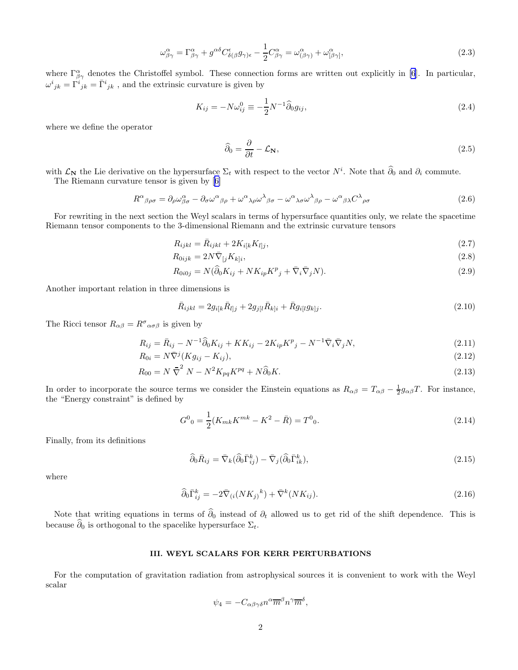$$
\omega^{\alpha}_{\beta\gamma} = \Gamma^{\alpha}_{\beta\gamma} + g^{\alpha\delta} C^{\epsilon}_{\delta(\beta} g_{\gamma)\epsilon} - \frac{1}{2} C^{\alpha}_{\beta\gamma} = \omega^{\alpha}_{(\beta\gamma)} + \omega^{\alpha}_{[\beta\gamma]},
$$
\n(2.3)

<span id="page-2-0"></span>where  $\Gamma^{\alpha}_{\beta\gamma}$  denotes the Christoffel symbol. These connection forms are written out explicitly in [\[6](#page-5-0)]. In particular,  $\omega^{i}{}_{jk} = \Gamma^{i}{}_{jk} = \bar{\Gamma}^{i}{}_{jk}$ , and the extrinsic curvature is given by

$$
K_{ij} = -N\omega_{ij}^0 \equiv -\frac{1}{2}N^{-1}\widehat{\partial}_0 g_{ij},\qquad(2.4)
$$

where we define the operator

$$
\widehat{\partial}_0 = \frac{\partial}{\partial t} - \mathcal{L}_N,\tag{2.5}
$$

with  $\mathcal{L}_{\mathbf{N}}$  the Lie derivative on the hypersurface  $\Sigma_t$  with respect to the vector  $N^i$ . Note that  $\widehat{\partial}_0$  and  $\partial_i$  commute. The Riemann curvature tensor is given by[[6\]](#page-5-0)

$$
R^{\alpha}{}_{\beta\rho\sigma} = \partial_{\rho}\omega^{\alpha}_{\beta\sigma} - \partial_{\sigma}\omega^{\alpha}{}_{\beta\rho} + \omega^{\alpha}{}_{\lambda\rho}\omega^{\lambda}{}_{\beta\sigma} - \omega^{\alpha}{}_{\lambda\sigma}\omega^{\lambda}{}_{\beta\rho} - \omega^{\alpha}{}_{\beta\lambda}C^{\lambda}{}_{\rho\sigma}
$$
\n(2.6)

For rewriting in the next section the Weyl scalars in terms of hypersurface quantities only, we relate the spacetime Riemann tensor components to the 3-dimensional Riemann and the extrinsic curvature tensors

$$
R_{ijkl} = \bar{R}_{ijkl} + 2K_{i[k}K_{l]j},\tag{2.7}
$$

$$
R_{0ijk} = 2N\bar{\nabla}_{[j}K_{k]i},\tag{2.8}
$$

$$
R_{0i0j} = N(\widehat{\partial}_0 K_{ij} + NK_{ip} K^p{}_j + \overline{\nabla}_i \overline{\nabla}_j N). \tag{2.9}
$$

Another important relation in three dimensions is

$$
\bar{R}_{ijkl} = 2g_{i[k}\bar{R}_{l]j} + 2g_{j[l}\bar{R}_{k]i} + \bar{R}g_{i[l}g_{k]j}.
$$
\n(2.10)

The Ricci tensor  $R_{\alpha\beta} = R^{\sigma}{}_{\alpha\sigma\beta}$  is given by

$$
R_{ij} = \bar{R}_{ij} - N^{-1}\hat{\partial}_0 K_{ij} + KK_{ij} - 2K_{ip}K^p{}_j - N^{-1}\bar{\nabla}_i \bar{\nabla}_j N,
$$
\n(2.11)

$$
R_{0i} = N\overline{\nabla}^j (Kg_{ij} - K_{ij}),\tag{2.12}
$$

$$
R_{00} = N\,\bar{\nabla}^2\,N - N^2K_{pq}K^{pq} + N\hat{\partial}_0 K. \tag{2.13}
$$

In order to incorporate the source terms we consider the Einstein equations as  $R_{\alpha\beta} = T_{\alpha\beta} - \frac{1}{2}g_{\alpha\beta}T$ . For instance, the "Energy constraint" is defined by

$$
G^{0}{}_{0} = \frac{1}{2}(K_{mk}K^{mk} - K^{2} - \bar{R}) = T^{0}{}_{0}.
$$
\n(2.14)

Finally, from its definitions

$$
\widehat{\partial}_0 \bar{R}_{ij} = \bar{\nabla}_k (\widehat{\partial}_0 \bar{\Gamma}_{ij}^k) - \bar{\nabla}_j (\widehat{\partial}_0 \bar{\Gamma}_{ik}^k), \qquad (2.15)
$$

where

$$
\widehat{\partial}_0 \bar{\Gamma}^k_{ij} = -2 \bar{\nabla}_{(i} (NK_{j)}^{\ \ k}) + \bar{\nabla}^k (NK_{ij}). \tag{2.16}
$$

Note that writing equations in terms of  $\hat{\partial}_0$  instead of  $\partial_t$  allowed us to get rid of the shift dependence. This is because  $\partial_0$  is orthogonal to the spacelike hypersurface  $\Sigma_t$ .

#### III. WEYL SCALARS FOR KERR PERTURBATIONS

For the computation of gravitation radiation from astrophysical sources it is convenient to work with the Weyl scalar

$$
\psi_4 = -C_{\alpha\beta\gamma\delta}n^{\alpha}\overline{m}^{\beta}n^{\gamma}\overline{m}^{\delta},
$$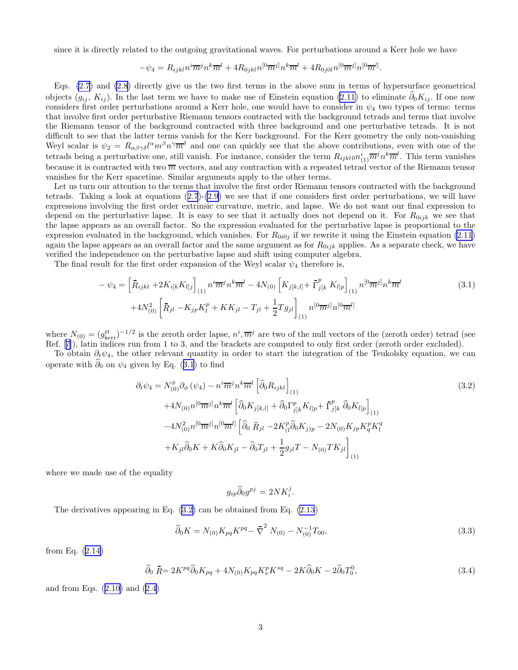<span id="page-3-0"></span>since it is directly related to the outgoing gravitational waves. For perturbations around a Kerr hole we have

$$
-\psi_4 = R_{ijkl} n^i \overline{m}^j n^k \overline{m}^l + 4R_{0jkl} n^{[0} \overline{m}^j] n^k \overline{m}^l + 4R_{0j0l} n^{[0} \overline{m}^j] n^{[0} \overline{m}^l].
$$

Eqs. [\(2.7](#page-2-0)) and [\(2.8](#page-2-0)) directly give us the two first terms in the above sum in terms of hypersurface geometrical objects  $(g_{ij}, K_{ij})$ . In the last term we have to make use of Einstein equation [\(2.11\)](#page-2-0) to eliminate  $\hat{\partial}_0 K_{ij}$ . If one now considers first order perturbations around a Kerr hole, one would have to consider in  $\psi_4$  two types of terms: terms that involve first order perturbative Riemann tensors contracted with the background tetrads and terms that involve the Riemann tensor of the background contracted with three background and one perturbative tetrads. It is not difficult to see that the latter terms vanish for the Kerr background. For the Kerr geometry the only non-vanishing Weyl scalar is  $\psi_2 = R_{\alpha\beta\gamma\delta}l^{\alpha}m^{\beta}n^{\gamma}\overline{m}^{\delta}$  and one can quickly see that the above contributions, even with one of the tetrads being a perturbative one, still vanish. For instance, consider the term  $R_{ijkl0}n_{(1)}^i\overline{m}^j n^k\overline{m}^l$ . This term vanishes because it is contracted with two  $\overline{m}$  vectors, and any contraction with a repeated tetrad vector of the Riemann tensor vanishes for the Kerr spacetime. Similar arguments apply to the other terms.

Let us turn our attention to the terms that involve the first order Riemann tensors contracted with the background tetrads.Taking a look at equations  $(2.7)-(2.9)$  $(2.7)-(2.9)$  $(2.7)-(2.9)$  $(2.7)-(2.9)$  $(2.7)-(2.9)$  we see that if one considers first order perturbations, we will have expressions involving the first order extrinsic curvature, metric, and lapse. We do not want our final expression to depend on the perturbative lapse. It is easy to see that it actually does not depend on it. For  $R_{0ijk}$  we see that the lapse appears as an overall factor. So the expression evaluated for the perturbative lapse is proportional to the expression evaluated in the background, which vanishes. For  $R_{0i0j}$  if we rewrite it using the Einstein equation [\(2.11](#page-2-0)) again the lapse appears as an overall factor and the same argument as for  $R_{0ijk}$  applies. As a separate check, we have verified the independence on the perturbative lapse and shift using computer algebra.

The final result for the first order expansion of the Weyl scalar  $\psi_4$  therefore is,

$$
-\psi_4 = \left[\bar{R}_{ijkl} + 2K_{i[k}K_{l]j}\right]_{(1)} n^i \overline{m}^j n^k \overline{m}^l - 4N_{(0)} \left[K_{j[k,l]} + \bar{\Gamma}_{j[k]}^p K_{l]p}\right]_{(1)} n^{[0} \overline{m}^j] n^k \overline{m}^l
$$
\n
$$
+ 4N_{(0)}^2 \left[\bar{R}_{jl} - K_{jp}K_l^p + KK_{jl} - T_{jl} + \frac{1}{2}Tg_{jl}\right]_{(1)} n^{[0} \overline{m}^j] n^{[0} \overline{m}^l]
$$
\n(3.1)

where  $N_{(0)} = (g_{\text{ker}}^{tt})^{-1/2}$  is the zeroth order lapse,  $n^i$ ,  $\overline{m}^j$  are two of the null vectors of the (zeroth order) tetrad (see Ref.[[7\]](#page-5-0)), latin indices run from 1 to 3, and the brackets are computed to only first order (zeroth order excluded).

To obtain  $\partial_t \psi_4$ , the other relevant quantity in order to start the integration of the Teukolsky equation, we can operate with  $\hat{\partial}_0$  on  $\psi_4$  given by Eq. (3.1) to find

$$
\partial_t \psi_4 = N^{\phi}_{(0)} \partial_{\phi} (\psi_4) - n^i \overline{m}^j n^k \overline{m}^l \left[ \hat{\partial}_0 R_{ijkl} \right]_{(1)}
$$
\n
$$
+ 4N_{(0)} n^{[0} \overline{m}^j] n^k \overline{m}^l \left[ \hat{\partial}_0 K_{j[k,l]} + \hat{\partial}_0 \Gamma^p_{j[k} K_{l]p} + \overline{\Gamma}^p_{j[k} \hat{\partial}_0 K_{l]p} \right]_{(1)}
$$
\n
$$
- 4N_{(0)}^2 n^{[0} \overline{m}^j] n^{[0} \overline{m}^l] \left[ \hat{\partial}_0 \overline{R}_{jl} - 2K^p_{(l} \hat{\partial}_0 K_{j)p} - 2N_{(0)} K_{jp} K^p_q K^q_l + K_{jl} \hat{\partial}_0 K + K \hat{\partial}_0 K_{jl} - \hat{\partial}_0 T_{jl} + \frac{1}{2} g_{jl} T - N_{(0)} T K_{jl} \right]_{(1)}
$$
\n(3.2)

where we made use of the equality

$$
g_{ip}\widehat{\partial}_0 g^{pj} = 2NK_i^j.
$$

The derivatives appearing in Eq. (3.2) can be obtained from Eq. [\(2.13](#page-2-0))

$$
\widehat{\partial}_0 K = N_{(0)} K_{pq} K^{pq} - \overline{\nabla}^2 N_{(0)} - N_{(0)}^{-1} T_{00},\tag{3.3}
$$

from Eq.([2.14\)](#page-2-0)

$$
\widehat{\partial}_0 \ \overline{R} = 2K^{pq} \widehat{\partial}_0 K_{pq} + 4N_{(0)} K_{pq} K_s^p K^{sq} - 2K \widehat{\partial}_0 K - 2 \widehat{\partial}_0 T_0^0, \tag{3.4}
$$

andfrom Eqs.  $(2.10)$  $(2.10)$  and  $(2.4)$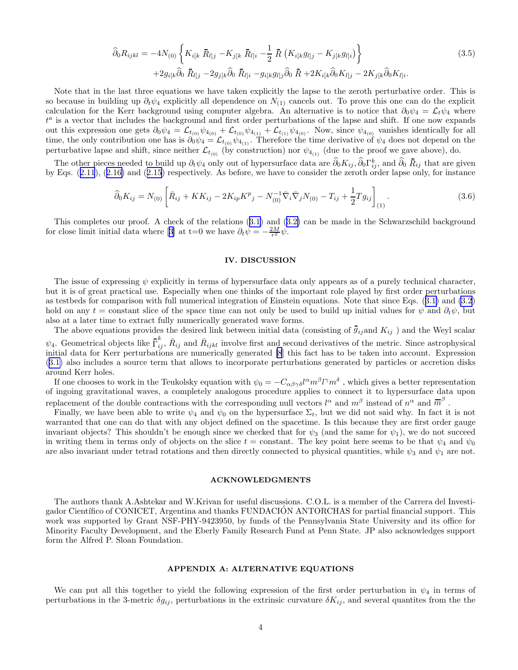$$
\widehat{\partial}_{0} R_{ijkl} = -4N_{(0)} \left\{ K_{i[k} \,\,\bar{R}_{l]j} - K_{j[k} \,\,\bar{R}_{l]i} - \frac{1}{2} \,\,\bar{R} \left( K_{i[k}g_{l]j} - K_{j[k}g_{l]i} \right) \right\} \n+ 2g_{i[k}\widehat{\partial}_{0} \,\,\bar{R}_{l]j} - 2g_{j[k}\widehat{\partial}_{0} \,\,\bar{R}_{l]i} - g_{i[k}g_{l]j}\widehat{\partial}_{0} \,\,\bar{R} + 2K_{i[k}\widehat{\partial}_{0} K_{l]j} - 2K_{j[k}\widehat{\partial}_{0} K_{l]i}.
$$
\n(3.5)

Note that in the last three equations we have taken explicitly the lapse to the zeroth perturbative order. This is so because in building up  $\partial_t \psi_4$  explicitly all dependence on  $N_{(1)}$  cancels out. To prove this one can do the explicit calculation for the Kerr background using computer algebra. An alternative is to notice that  $\partial_0 \psi_4 = \mathcal{L}_t \psi_4$  where  $t^a$  is a vector that includes the background and first order perturbations of the lapse and shift. If one now expands out this expression one gets  $\partial_0 \psi_4 = \mathcal{L}_{t_{(0)}} \psi_{4_{(0)}} + \mathcal{L}_{t_{(0)}} \psi_{4_{(1)}} + \mathcal{L}_{t_{(1)}} \psi_{4_{(0)}}$ . Now, since  $\psi_{4_{(0)}}$  vanishes identically for all time, the only contribution one has is  $\partial_0 \psi_4 = \mathcal{L}_{t_{(0)}} \psi_{4_{(1)}}$ . Therefore the time derivative of  $\psi_4$  does not depend on the perturbative lapse and shift, since neither  $\mathcal{L}_{t_{(0)}}$  (by construction) nor  $\psi_{4_{(1)}}$  (due to the proof we gave above), do.

The other pieces needed to build up  $\partial_t \psi_4$  only out of hypersurface data are  $\partial_0 K_{ij}, \partial_0 \Gamma_{ij}^k$ , and  $\partial_0 R_{ij}$  that are given by Eqs.([2.11](#page-2-0)),([2.16\)](#page-2-0) and([2.15](#page-2-0)) respectively. As before, we have to consider the zeroth order lapse only, for instance

$$
\widehat{\partial}_0 K_{ij} = N_{(0)} \left[ \bar{R}_{ij} + K K_{ij} - 2K_{ip} K^p{}_j - N_{(0)}^{-1} \bar{\nabla}_i \bar{\nabla}_j N_{(0)} - T_{ij} + \frac{1}{2} T g_{ij} \right]_{(1)}.
$$
\n(3.6)

This completes our proof. A check of the relations([3.1\)](#page-3-0) and([3.2\)](#page-3-0) can be made in the Schwarzschild background forclose limit initial data where [[3\]](#page-5-0) at t=0 we have  $\partial_t \dot{\psi} = -\frac{2M}{r^2} \dot{\psi}$ .

#### IV. DISCUSSION

The issue of expressing  $\psi$  explicitly in terms of hypersurface data only appears as of a purely technical character, but it is of great practical use. Especially when one thinks of the important role played by first order perturbations as testbeds for comparison with full numerical integration of Einstein equations. Note that since Eqs.([3.1\)](#page-3-0) and [\(3.2](#page-3-0)) hold on any t = constant slice of the space time can not only be used to build up initial values for  $\psi$  and  $\partial_t \psi$ , but also at a later time to extract fully numerically generated wave forms.

The above equations provides the desired link between initial data (consisting of  $\bar{g}_{ij}$  and  $K_{ij}$ ) and the Weyl scalar  $\psi_4$ . Geometrical objects like  $\bar{\Gamma}_{ij}^k$ ,  $\bar{R}_{ij}$  and  $\bar{R}_{ijkl}$  involve first and second derivatives of the metric. Since astrophysical initial data for Kerr perturbations are numerically generated [\[8](#page-5-0)] this fact has to be taken into account. Expression ([3.1\)](#page-3-0) also includes a source term that allows to incorporate perturbations generated by particles or accretion disks around Kerr holes.

If one chooses to work in the Teukolsky equation with  $\psi_0 = -C_{\alpha\beta\gamma\delta}l^{\alpha}m^{\beta}l^{\gamma}m^{\delta}$ , which gives a better representation of ingoing gravitational waves, a completely analogous procedure applies to connect it to hypersurface data upon replacement of the double contractions with the corresponding null vectors  $l^{\alpha}$  and  $m^{\beta}$  instead of  $n^{\alpha}$  and  $\overline{m}^{\beta}$ .

Finally, we have been able to write  $\psi_4$  and  $\psi_0$  on the hypersurface  $\Sigma_t$ , but we did not said why. In fact it is not warranted that one can do that with any object defined on the spacetime. Is this because they are first order gauge invariant objects? This shouldn't be enough since we checked that for  $\psi_3$  (and the same for  $\psi_1$ ), we do not succeed in writing them in terms only of objects on the slice  $t =$  constant. The key point here seems to be that  $\psi_4$  and  $\psi_0$ are also invariant under tetrad rotations and then directly connected to physical quantities, while  $\psi_3$  and  $\psi_1$  are not.

#### ACKNOWLEDGMENTS

The authors thank A.Ashtekar and W.Krivan for useful discussions. C.O.L. is a member of the Carrera del Investigador Científico of CONICET, Argentina and thanks FUNDACIÓN ANTORCHAS for partial financial support. This work was supported by Grant NSF-PHY-9423950, by funds of the Pennsylvania State University and its office for Minority Faculty Development, and the Eberly Family Research Fund at Penn State. JP also acknowledges support form the Alfred P. Sloan Foundation.

#### APPENDIX A: ALTERNATIVE EQUATIONS

We can put all this together to yield the following expression of the first order perturbation in  $\psi_4$  in terms of perturbations in the 3-metric  $\delta g_{ij}$ , perturbations in the extrinsic curvature  $\delta K_{ij}$ , and several quantites from the the